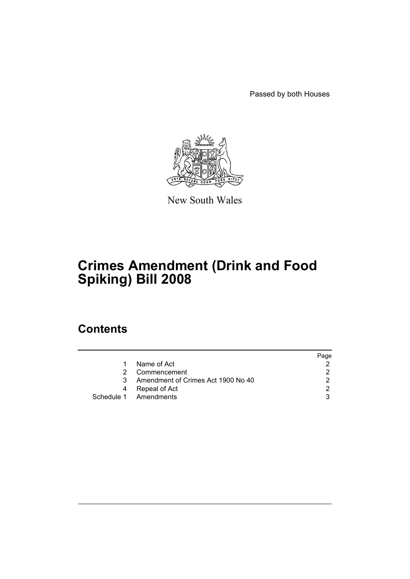Passed by both Houses



New South Wales

# **Crimes Amendment (Drink and Food Spiking) Bill 2008**

### **Contents**

|                                    | Page |
|------------------------------------|------|
| Name of Act                        |      |
| Commencement                       |      |
| Amendment of Crimes Act 1900 No 40 |      |
| Repeal of Act<br>4                 |      |
| Schedule 1 Amendments              |      |
|                                    |      |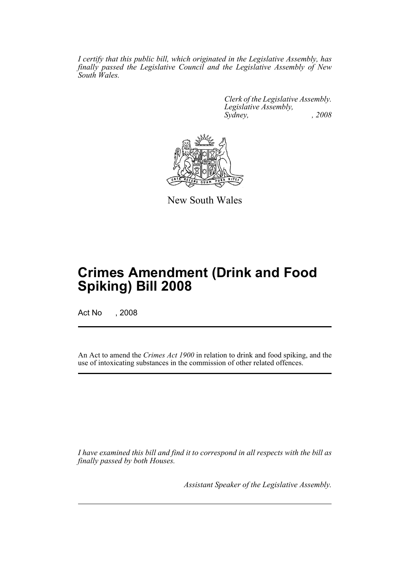*I certify that this public bill, which originated in the Legislative Assembly, has finally passed the Legislative Council and the Legislative Assembly of New South Wales.*

> *Clerk of the Legislative Assembly. Legislative Assembly, Sydney, , 2008*



New South Wales

## **Crimes Amendment (Drink and Food Spiking) Bill 2008**

Act No , 2008

An Act to amend the *Crimes Act 1900* in relation to drink and food spiking, and the use of intoxicating substances in the commission of other related offences.

*I have examined this bill and find it to correspond in all respects with the bill as finally passed by both Houses.*

*Assistant Speaker of the Legislative Assembly.*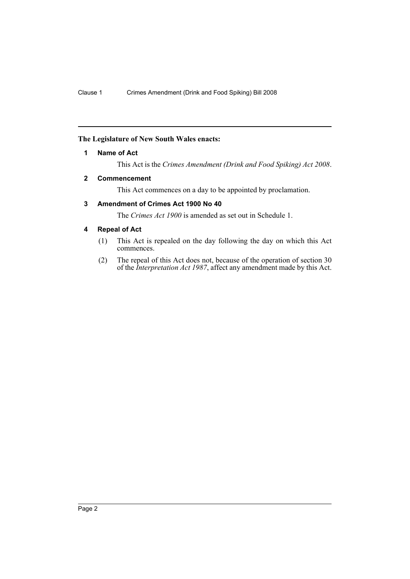#### <span id="page-2-0"></span>**The Legislature of New South Wales enacts:**

#### **1 Name of Act**

This Act is the *Crimes Amendment (Drink and Food Spiking) Act 2008*.

#### <span id="page-2-1"></span>**2 Commencement**

This Act commences on a day to be appointed by proclamation.

#### <span id="page-2-2"></span>**3 Amendment of Crimes Act 1900 No 40**

The *Crimes Act 1900* is amended as set out in Schedule 1.

#### <span id="page-2-3"></span>**4 Repeal of Act**

- (1) This Act is repealed on the day following the day on which this Act commences.
- (2) The repeal of this Act does not, because of the operation of section 30 of the *Interpretation Act 1987*, affect any amendment made by this Act.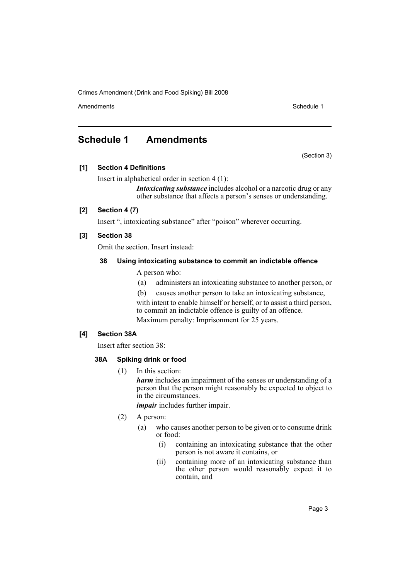Crimes Amendment (Drink and Food Spiking) Bill 2008

Amendments **Schedule 1** and the set of the set of the set of the set of the set of the set of the set of the set of the set of the set of the set of the set of the set of the set of the set of the set of the set of the set

(Section 3)

### <span id="page-3-0"></span>**Schedule 1 Amendments**

**[1] Section 4 Definitions**

Insert in alphabetical order in section 4 (1):

*Intoxicating substance* includes alcohol or a narcotic drug or any other substance that affects a person's senses or understanding.

#### **[2] Section 4 (7)**

Insert ", intoxicating substance" after "poison" wherever occurring.

#### **[3] Section 38**

Omit the section. Insert instead:

#### **38 Using intoxicating substance to commit an indictable offence**

A person who:

- (a) administers an intoxicating substance to another person, or
- (b) causes another person to take an intoxicating substance,

with intent to enable himself or herself, or to assist a third person, to commit an indictable offence is guilty of an offence. Maximum penalty: Imprisonment for 25 years.

#### **[4] Section 38A**

Insert after section 38:

#### **38A Spiking drink or food**

(1) In this section:

*harm* includes an impairment of the senses or understanding of a person that the person might reasonably be expected to object to in the circumstances.

*impair* includes further impair.

- (2) A person:
	- (a) who causes another person to be given or to consume drink or food:
		- (i) containing an intoxicating substance that the other person is not aware it contains, or
		- (ii) containing more of an intoxicating substance than the other person would reasonably expect it to contain, and